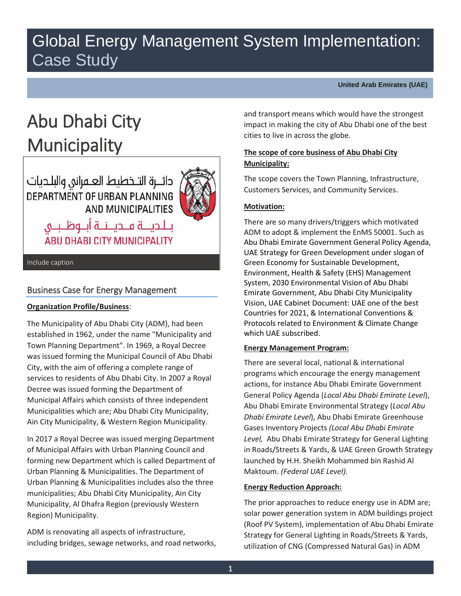## Global Energy Management System Implementation: Case Study

**United Arab Emirates (UAE)**

# Abu Dhabi City **Municipality**

دائـــرة التــخطيط العــــمرانى والبلــديات DEPARTMENT OF URBAN PLANNING AND MUNICIPALITIES



بـلـديــــة فـــديـــنـــة أبـــوظــبـــى **ABU DHABI CITY MUNICIPALITY** 

Include caption

## Business Case for Energy Management

## **Organization Profile/Business**:

The Municipality of Abu Dhabi City (ADM), had been established in 1962, under the name "Municipality and Town Planning Department". In 1969, a Royal Decree was issued forming the Municipal Council of Abu Dhabi City, with the aim of offering a complete range of services to residents of Abu Dhabi City. In 2007 a Royal Decree was issued forming the Department of Municipal Affairs which consists of three independent Municipalities which are; Abu Dhabi City Municipality, Ain City Municipality, & Western Region Municipality.

In 2017 a Royal Decree was issued merging Department of Municipal Affairs with Urban Planning Council and forming new Department which is called Department of Urban Planning & Municipalities. The Department of Urban Planning & Municipalities includes also the three municipalities; Abu Dhabi City Municipality, Ain City Municipality, Al Dhafra Region (previously Western Region) Municipality.

ADM is renovating all aspects of infrastructure, including bridges, sewage networks, and road networks, and transport means which would have the strongest impact in making the city of Abu Dhabi one of the best cities to live in across the globe.

## **The scope of core business of Abu Dhabi City Municipality:**

The scope covers the Town Planning, Infrastructure, Customers Services, and Community Services.

## **Motivation:**

There are so many drivers/triggers which motivated ADM to adopt & implement the EnMS 50001. Such as Abu Dhabi Emirate Government General Policy Agenda, UAE Strategy for Green Development under slogan of Green Economy for Sustainable Development, Environment, Health & Safety (EHS) Management System, 2030 Environmental Vision of Abu Dhabi Emirate Government, Abu Dhabi City Municipality Vision, UAE Cabinet Document: UAE one of the best Countries for 2021, & International Conventions & Protocols related to Environment & Climate Change which UAE subscribed.

## **Energy Management Program:**

There are several local, national & international programs which encourage the energy management actions, for instance Abu Dhabi Emirate Government General Policy Agenda (*Local Abu Dhabi Emirate Level*), Abu Dhabi Emirate Environmental Strategy (*Local Abu Dhabi Emirate Level*), Abu Dhabi Emirate Greenhouse Gases Inventory Projects *(Local Abu Dhabi Emirate Level,* Abu Dhabi Emirate Strategy for General Lighting in Roads/Streets & Yards, & UAE Green Growth Strategy launched by H.H. Sheikh Mohammed bin Rashid Al Maktoum. *(Federal UAE Level).* 

#### **Energy Reduction Approach:**

The prior approaches to reduce energy use in ADM are; solar power generation system in ADM buildings project (Roof PV System), implementation of Abu Dhabi Emirate Strategy for General Lighting in Roads/Streets & Yards, utilization of CNG (Compressed Natural Gas) in ADM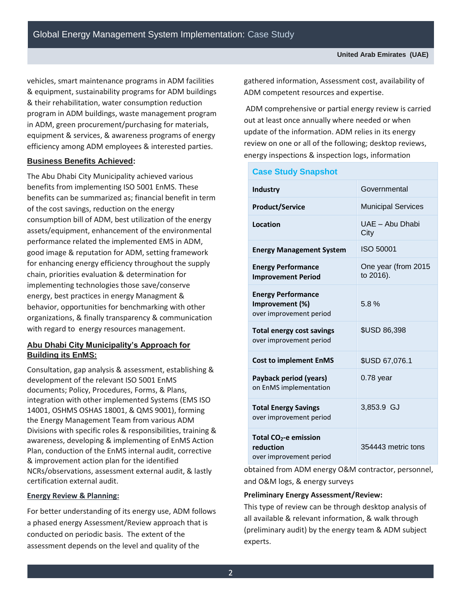vehicles, smart maintenance programs in ADM facilities & equipment, sustainability programs for ADM buildings & their rehabilitation, water consumption reduction program in ADM buildings, waste management program in ADM, green procurement/purchasing for materials, equipment & services, & awareness programs of energy efficiency among ADM employees & interested parties.

## **Business Benefits Achieved:**

The Abu Dhabi City Municipality achieved various benefits from implementing ISO 5001 EnMS. These benefits can be summarized as; financial benefit in term of the cost savings, reduction on the energy consumption bill of ADM, best utilization of the energy assets/equipment, enhancement of the environmental performance related the implemented EMS in ADM, good image & reputation for ADM, setting framework for enhancing energy efficiency throughout the supply chain, priorities evaluation & determination for implementing technologies those save/conserve energy, best practices in energy Managment & behavior, opportunities for benchmarking with other organizations, & finally transparency & communication with regard to energy resources management.

## **Abu Dhabi City Municipality's Approach for Building its EnMS:**

Consultation, gap analysis & assessment, establishing & development of the relevant ISO 5001 EnMS documents; Policy, Procedures, Forms, & Plans, integration with other implemented Systems (EMS ISO 14001, OSHMS OSHAS 18001, & QMS 9001), forming the Energy Management Team from various ADM Divisions with specific roles & responsibilities, training & awareness, developing & implementing of EnMS Action Plan, conduction of the EnMS internal audit, corrective & improvement action plan for the identified NCRs/observations, assessment external audit, & lastly certification external audit.

## **Energy Review & Planning:**

For better understanding of its energy use, ADM follows a phased energy Assessment/Review approach that is conducted on periodic basis. The extent of the assessment depends on the level and quality of the

gathered information, Assessment cost, availability of ADM competent resources and expertise.

ADM comprehensive or partial energy review is carried out at least once annually where needed or when update of the information. ADM relies in its energy review on one or all of the following; desktop reviews, energy inspections & inspection logs, information

| <b>Case Study Snapshot</b>                                                |                                  |  |  |  |  |  |  |
|---------------------------------------------------------------------------|----------------------------------|--|--|--|--|--|--|
| Industry                                                                  | Governmental                     |  |  |  |  |  |  |
| <b>Product/Service</b>                                                    | <b>Municipal Services</b>        |  |  |  |  |  |  |
| Location                                                                  | UAE - Abu Dhabi<br>City          |  |  |  |  |  |  |
| <b>Energy Management System</b>                                           | <b>ISO 50001</b>                 |  |  |  |  |  |  |
| <b>Energy Performance</b><br><b>Improvement Period</b>                    | One year (from 2015<br>to 2016). |  |  |  |  |  |  |
| <b>Energy Performance</b><br>Improvement (%)<br>over improvement period   | 5.8%                             |  |  |  |  |  |  |
| <b>Total energy cost savings</b><br>over improvement period               | <b>\$USD 86,398</b>              |  |  |  |  |  |  |
| <b>Cost to implement EnMS</b>                                             | \$USD 67,076.1                   |  |  |  |  |  |  |
| Payback period (years)<br>on EnMS implementation                          | $0.78$ year                      |  |  |  |  |  |  |
| <b>Total Energy Savings</b><br>over improvement period                    | 3,853.9 GJ                       |  |  |  |  |  |  |
| Total CO <sub>2</sub> -e emission<br>reduction<br>over improvement period | 354443 metric tons               |  |  |  |  |  |  |
|                                                                           |                                  |  |  |  |  |  |  |

obtained from ADM energy O&M contractor, personnel, and O&M logs, & energy surveys

## **Preliminary Energy Assessment/Review:**

This type of review can be through desktop analysis of all available & relevant information, & walk through (preliminary audit) by the energy team & ADM subject experts.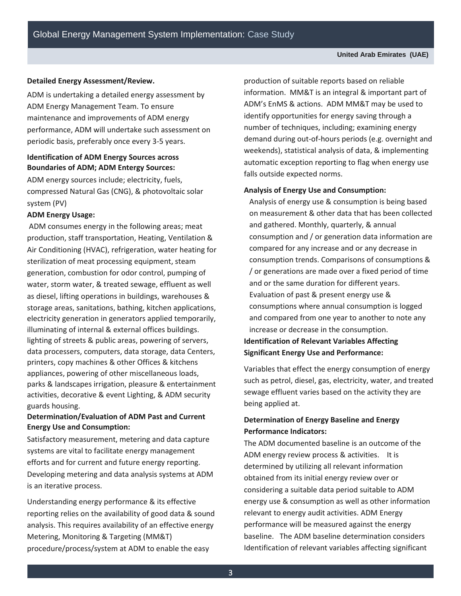#### **Detailed Energy Assessment/Review.**

ADM is undertaking a detailed energy assessment by ADM Energy Management Team. To ensure maintenance and improvements of ADM energy performance, ADM will undertake such assessment on periodic basis, preferably once every 3-5 years.

## **Identification of ADM Energy Sources across Boundaries of ADM; ADM Entergy Sources:**

ADM energy sources include; electricity, fuels, compressed Natural Gas (CNG), & photovoltaic solar system (PV)

#### **ADM Energy Usage:**

ADM consumes energy in the following areas; meat production, staff transportation, Heating, Ventilation & Air Conditioning (HVAC), refrigeration, water heating for sterilization of meat processing equipment, steam generation, combustion for odor control, pumping of water, storm water, & treated sewage, effluent as well as diesel, lifting operations in buildings, warehouses & storage areas, sanitations, bathing, kitchen applications, electricity generation in generators applied temporarily, illuminating of internal & external offices buildings. lighting of streets & public areas, powering of servers, data processers, computers, data storage, data Centers, printers, copy machines & other Offices & kitchens appliances, powering of other miscellaneous loads, parks & landscapes irrigation, pleasure & entertainment activities, decorative & event Lighting, & ADM security guards housing.

## **Determination/Evaluation of ADM Past and Current Energy Use and Consumption:**

Satisfactory measurement, metering and data capture systems are vital to facilitate energy management efforts and for current and future energy reporting. Developing metering and data analysis systems at ADM is an iterative process.

Understanding energy performance & its effective reporting relies on the availability of good data & sound analysis. This requires availability of an effective energy Metering, Monitoring & Targeting (MM&T) procedure/process/system at ADM to enable the easy

production of suitable reports based on reliable information. MM&T is an integral & important part of ADM's EnMS & actions. ADM MM&T may be used to identify opportunities for energy saving through a number of techniques, including; examining energy demand during out-of-hours periods (e.g. overnight and weekends), statistical analysis of data, & implementing automatic exception reporting to flag when energy use falls outside expected norms.

#### **Analysis of Energy Use and Consumption:**

Analysis of energy use & consumption is being based on measurement & other data that has been collected and gathered. Monthly, quarterly, & annual consumption and / or generation data information are compared for any increase and or any decrease in consumption trends. Comparisons of consumptions & / or generations are made over a fixed period of time and or the same duration for different years. Evaluation of past & present energy use & consumptions where annual consumption is logged and compared from one year to another to note any increase or decrease in the consumption.

## **Identification of Relevant Variables Affecting Significant Energy Use and Performance:**

Variables that effect the energy consumption of energy such as petrol, diesel, gas, electricity, water, and treated sewage effluent varies based on the activity they are being applied at.

## **Determination of Energy Baseline and Energy Performance Indicators:**

The ADM documented baseline is an outcome of the ADM energy review process & activities. It is determined by utilizing all relevant information obtained from its initial energy review over or considering a suitable data period suitable to ADM energy use & consumption as well as other information relevant to energy audit activities. ADM Energy performance will be measured against the energy baseline. The ADM baseline determination considers Identification of relevant variables affecting significant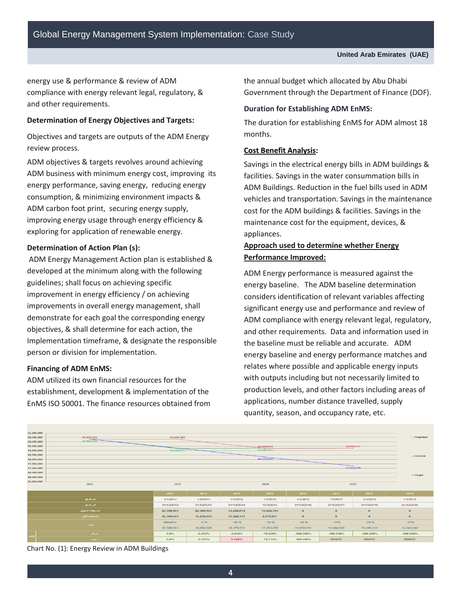energy use & performance & review of ADM compliance with energy relevant legal, regulatory, & and other requirements.

### **Determination of Energy Objectives and Targets:**

Objectives and targets are outputs of the ADM Energy review process.

ADM objectives & targets revolves around achieving ADM business with minimum energy cost, improving its energy performance, saving energy, reducing energy consumption, & minimizing environment impacts & ADM carbon foot print, securing energy supply, improving energy usage through energy efficiency & exploring for application of renewable energy.

#### **Determination of Action Plan (s):**

 ADM Energy Management Action plan is established & developed at the minimum along with the following guidelines; shall focus on achieving specific improvement in energy efficiency / on achieving improvements in overall energy management, shall demonstrate for each goal the corresponding energy objectives, & shall determine for each action, the Implementation timeframe, & designate the responsible person or division for implementation.

#### **Financing of ADM EnMS:**

ADM utilized its own financial resources for the establishment, development & implementation of the EnMS ISO 50001. The finance resources obtained from the annual budget which allocated by Abu Dhabi Government through the Department of Finance (DOF).

#### **Duration for Establishing ADM EnMS:**

The duration for establishing EnMS for ADM almost 18 months.

#### **Cost Benefit Analysis:**

Savings in the electrical energy bills in ADM buildings & facilities. Savings in the water consummation bills in ADM Buildings. Reduction in the fuel bills used in ADM vehicles and transportation. Savings in the maintenance cost for the ADM buildings & facilities. Savings in the maintenance cost for the equipment, devices, & appliances.

## **Approach used to determine whether Energy Performance Improved:**

ADM Energy performance is measured against the energy baseline. The ADM baseline determination considers identification of relevant variables affecting significant energy use and performance and review of ADM compliance with energy relevant legal, regulatory, and other requirements. Data and information used in the baseline must be reliable and accurate. ADM energy baseline and energy performance matches and relates where possible and applicable energy inputs with outputs including but not necessarily limited to production levels, and other factors including areas of applications, number distance travelled, supply quantity, season, and occupancy rate, etc.

| 21,000,000 |                   |            |            |            |            |              |              |              |              |
|------------|-------------------|------------|------------|------------|------------|--------------|--------------|--------------|--------------|
| 20,500,000 | 20,309,501        | 20,809,501 |            |            |            |              |              |              | -- Projected |
| 20,000,000 | 20.309.501        |            |            |            |            |              |              |              |              |
| 19,500,000 |                   |            |            |            | 19,256,872 |              |              | 19,284,311   |              |
| 19,000,000 |                   |            | 19,256,872 |            |            | 19,284,311   |              |              |              |
| 18,500,000 |                   |            |            |            |            |              |              |              | -Achived     |
| 18,000,000 |                   |            |            |            | 18,278,551 |              |              |              |              |
| 17,500,000 |                   |            |            |            |            |              |              |              |              |
| 17,000,000 |                   |            |            |            |            |              |              | 17,263,076   |              |
| 16,500,000 |                   |            |            |            |            |              |              |              |              |
| 16,000,000 |                   |            |            |            |            |              |              |              | -Target      |
| 15,500,000 |                   |            |            |            |            |              |              |              |              |
|            | 2012              | 2013       |            |            | 2014       |              | 2015         |              |              |
|            |                   | 2012       | 2013       | 2014       | 2015       | 2016         | 2017         | 2018         | 2019         |
|            | من شاريخ          | 1/1/2012   | 1/1/2013   | 1/1/2014   | 1/1/2015   | 1/1/2016     | 1/1/2017     | 1/1/2018     | 1/1/2019     |
|            | الی تاریخ         | 31/12/2012 | 31/12/2013 | 31/12/2014 | 15/3/2015  | 31/12/2016   | 31/12/2017   | 31/12/2018   | 31/12/2019   |
|            | الاستهلاك المتوقع | 20,309,501 | 20,309,501 | 19,256,872 | 19,284,311 | $\mathbf{o}$ | $\mathbf{0}$ | $\mathbf{0}$ | $\bf{0}$     |
|            | الإستهلاك الكلى   | 20,309,501 | 19,256,872 | 19,284,311 | 4,872,607  | $\mathbf{0}$ | $\alpha$     | $\mathbf{o}$ | $\mathbf{o}$ |
|            | الهنف             | Baseline   | $-5%$      | $-10%$     | $-15.96$   | $-18%$       | $-21%$       | $-24.%$      | $-27%$       |
|            |                   | 20,309,501 | 19,294,026 | 18,278,551 | 17,263,076 | 16,653,791   | 16,044,506   | 15,435,221   | 13, 343, 342 |
|            | سترنكم            | $0.0\%$    | $-5.183%$  | $-5.048%$  | $-76.008%$ | $-100,000\%$ | $-100.000%$  | $-100.000\%$ | -100.000%    |
|            | منذوبى            | 0.0%       | $-5.183%$  | 0.142%     | $-74.733%$ | $-100.000\%$ | #DIV/0!      | #DIV/0!      | WDV/0!       |

Chart No. (1): Energy Review in ADM Buildings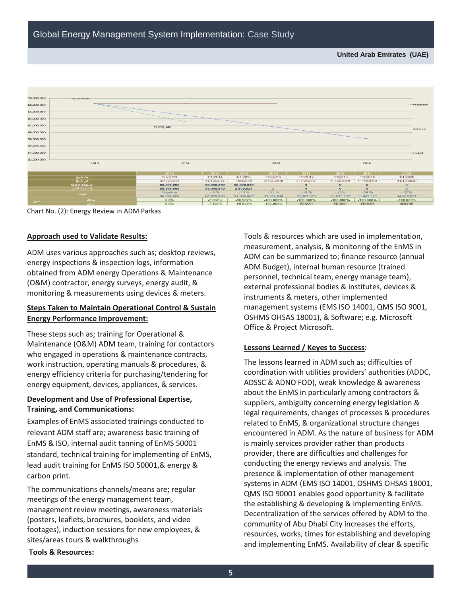

Chart No. (2): Energy Review in ADM Parkas

#### **Approach used to Validate Results:**

ADM uses various approaches such as; desktop reviews, energy inspections & inspection logs, information obtained from ADM energy Operations & Maintenance (O&M) contractor, energy surveys, energy audit, & monitoring & measurements using devices & meters.

## **Steps Taken to Maintain Operational Control & Sustain Energy Performance Improvement:**

These steps such as; training for Operational & Maintenance (O&M) ADM team, training for contactors who engaged in operations & maintenance contracts, work instruction, operating manuals & procedures, & energy efficiency criteria for purchasing/tendering for energy equipment, devices, appliances, & services.

## **Development and Use of Professional Expertise, Training, and Communications:**

Examples of EnMS associated trainings conducted to relevant ADM staff are; awareness basic training of EnMS & ISO, internal audit tanning of EnMS 50001 standard, technical training for implementing of EnMS, lead audit training for EnMS ISO 50001,& energy & carbon print.

The communications channels/means are; regular meetings of the energy management team, management review meetings, awareness materials (posters, leaflets, brochures, booklets, and video footages), induction sessions for new employees, & sites/areas tours & walkthroughs

Tools & resources which are used in implementation, measurement, analysis, & monitoring of the EnMS in ADM can be summarized to; finance resource (annual ADM Budget), internal human resource (trained personnel, technical team, energy manage team), external professional bodies & institutes, devices & instruments & meters, other implemented management systems (EMS ISO 14001, QMS ISO 9001, OSHMS OHSAS 18001), & Software; e.g. Microsoft Office & Project Microsoft.

#### **Lessons Learned / Keyes to Success:**

The lessons learned in ADM such as; difficulties of coordination with utilities providers' authorities (ADDC, ADSSC & ADNO FOD), weak knowledge & awareness about the EnMS in particularly among contractors & suppliers, ambiguity concerning energy legislation & legal requirements, changes of processes & procedures related to EnMS, & organizational structure changes encountered in ADM. As the nature of business for ADM is mainly services provider rather than products provider, there are difficulties and challenges for conducting the energy reviews and analysis. The presence & implementation of other management systems in ADM (EMS ISO 14001, OSHMS OHSAS 18001, QMS ISO 90001 enables good opportunity & facilitate the establishing & developing & implementing EnMS. Decentralization of the services offered by ADM to the community of Abu Dhabi City increases the efforts, resources, works, times for establishing and developing and implementing EnMS. Availability of clear & specific

#### **Tools & Resources:**